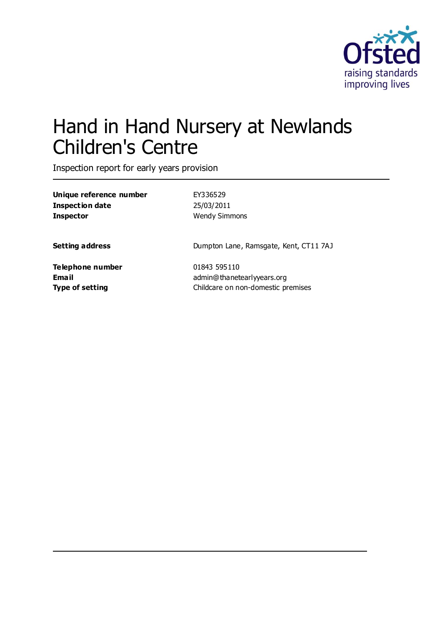

# Hand in Hand Nursery at Newlands Children's Centre

Inspection report for early years provision

**Unique reference number** EY336529 **Inspection date** 25/03/2011 **Inspector** Wendy Simmons

**Setting address** Dumpton Lane, Ramsgate, Kent, CT11 7AJ

**Telephone number** 01843 595110

**Email Email** admin@thanetearlyyears.org **Type of setting** Childcare on non-domestic premises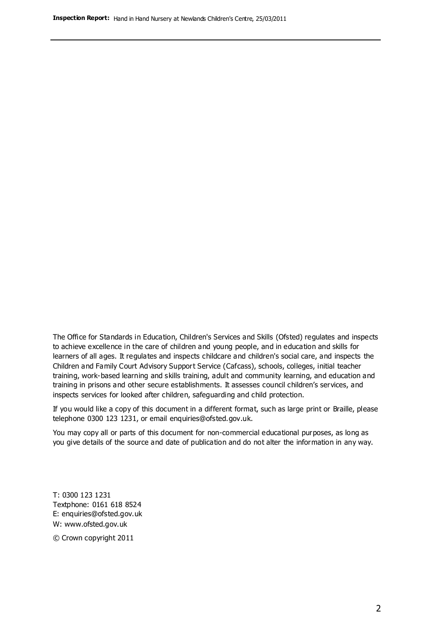The Office for Standards in Education, Children's Services and Skills (Ofsted) regulates and inspects to achieve excellence in the care of children and young people, and in education and skills for learners of all ages. It regulates and inspects childcare and children's social care, and inspects the Children and Family Court Advisory Support Service (Cafcass), schools, colleges, initial teacher training, work-based learning and skills training, adult and community learning, and education and training in prisons and other secure establishments. It assesses council children's services, and inspects services for looked after children, safeguarding and child protection.

If you would like a copy of this document in a different format, such as large print or Braille, please telephone 0300 123 1231, or email enquiries@ofsted.gov.uk.

You may copy all or parts of this document for non-commercial educational purposes, as long as you give details of the source and date of publication and do not alter the information in any way.

T: 0300 123 1231 Textphone: 0161 618 8524 E: enquiries@ofsted.gov.uk W: [www.ofsted.gov.uk](http://www.ofsted.gov.uk/)

© Crown copyright 2011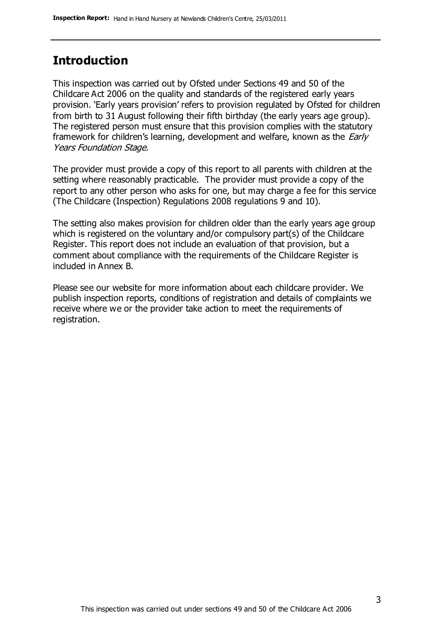### **Introduction**

This inspection was carried out by Ofsted under Sections 49 and 50 of the Childcare Act 2006 on the quality and standards of the registered early years provision. 'Early years provision' refers to provision regulated by Ofsted for children from birth to 31 August following their fifth birthday (the early years age group). The registered person must ensure that this provision complies with the statutory framework for children's learning, development and welfare, known as the *Early* Years Foundation Stage.

The provider must provide a copy of this report to all parents with children at the setting where reasonably practicable. The provider must provide a copy of the report to any other person who asks for one, but may charge a fee for this service (The Childcare (Inspection) Regulations 2008 regulations 9 and 10).

The setting also makes provision for children older than the early years age group which is registered on the voluntary and/or compulsory part(s) of the Childcare Register. This report does not include an evaluation of that provision, but a comment about compliance with the requirements of the Childcare Register is included in Annex B.

Please see our website for more information about each childcare provider. We publish inspection reports, conditions of registration and details of complaints we receive where we or the provider take action to meet the requirements of registration.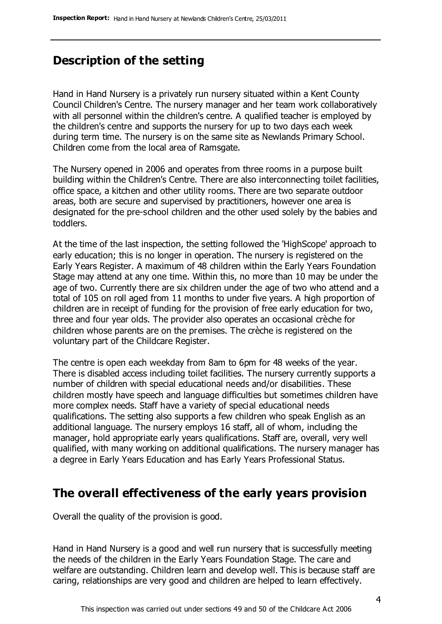# **Description of the setting**

Hand in Hand Nursery is a privately run nursery situated within a Kent County Council Children's Centre. The nursery manager and her team work collaboratively with all personnel within the children's centre. A qualified teacher is employed by the children's centre and supports the nursery for up to two days each week during term time. The nursery is on the same site as Newlands Primary School. Children come from the local area of Ramsgate.

The Nursery opened in 2006 and operates from three rooms in a purpose built building within the Children's Centre. There are also interconnecting toilet facilities, office space, a kitchen and other utility rooms. There are two separate outdoor areas, both are secure and supervised by practitioners, however one area is designated for the pre-school children and the other used solely by the babies and toddlers.

At the time of the last inspection, the setting followed the 'HighScope' approach to early education; this is no longer in operation. The nursery is registered on the Early Years Register. A maximum of 48 children within the Early Years Foundation Stage may attend at any one time. Within this, no more than 10 may be under the age of two. Currently there are six children under the age of two who attend and a total of 105 on roll aged from 11 months to under five years. A high proportion of children are in receipt of funding for the provision of free early education for two, three and four year olds. The provider also operates an occasional crèche for children whose parents are on the premises. The crèche is registered on the voluntary part of the Childcare Register.

The centre is open each weekday from 8am to 6pm for 48 weeks of the year. There is disabled access including toilet facilities. The nursery currently supports a number of children with special educational needs and/or disabilities. These children mostly have speech and language difficulties but sometimes children have more complex needs. Staff have a variety of special educational needs qualifications. The setting also supports a few children who speak English as an additional language. The nursery employs 16 staff, all of whom, including the manager, hold appropriate early years qualifications. Staff are, overall, very well qualified, with many working on additional qualifications. The nursery manager has a degree in Early Years Education and has Early Years Professional Status.

#### **The overall effectiveness of the early years provision**

Overall the quality of the provision is good.

Hand in Hand Nursery is a good and well run nursery that is successfully meeting the needs of the children in the Early Years Foundation Stage. The care and welfare are outstanding. Children learn and develop well. This is because staff are caring, relationships are very good and children are helped to learn effectively.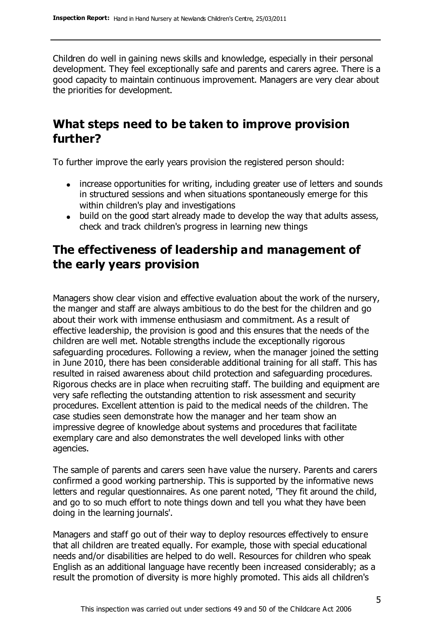Children do well in gaining news skills and knowledge, especially in their personal development. They feel exceptionally safe and parents and carers agree. There is a good capacity to maintain continuous improvement. Managers are very clear about the priorities for development.

# **What steps need to be taken to improve provision further?**

To further improve the early years provision the registered person should:

- increase opportunities for writing, including greater use of letters and sounds in structured sessions and when situations spontaneously emerge for this within children's play and investigations
- build on the good start already made to develop the way that adults assess, check and track children's progress in learning new things

# **The effectiveness of leadership and management of the early years provision**

Managers show clear vision and effective evaluation about the work of the nursery, the manger and staff are always ambitious to do the best for the children and go about their work with immense enthusiasm and commitment. As a result of effective leadership, the provision is good and this ensures that the needs of the children are well met. Notable strengths include the exceptionally rigorous safeguarding procedures. Following a review, when the manager joined the setting in June 2010, there has been considerable additional training for all staff. This has resulted in raised awareness about child protection and safeguarding procedures. Rigorous checks are in place when recruiting staff. The building and equipment are very safe reflecting the outstanding attention to risk assessment and security procedures. Excellent attention is paid to the medical needs of the children. The case studies seen demonstrate how the manager and her team show an impressive degree of knowledge about systems and procedures that facilitate exemplary care and also demonstrates the well developed links with other agencies.

The sample of parents and carers seen have value the nursery. Parents and carers confirmed a good working partnership. This is supported by the informative news letters and regular questionnaires. As one parent noted, 'They fit around the child, and go to so much effort to note things down and tell you what they have been doing in the learning journals'.

Managers and staff go out of their way to deploy resources effectively to ensure that all children are treated equally. For example, those with special educational needs and/or disabilities are helped to do well. Resources for children who speak English as an additional language have recently been increased considerably; as a result the promotion of diversity is more highly promoted. This aids all children's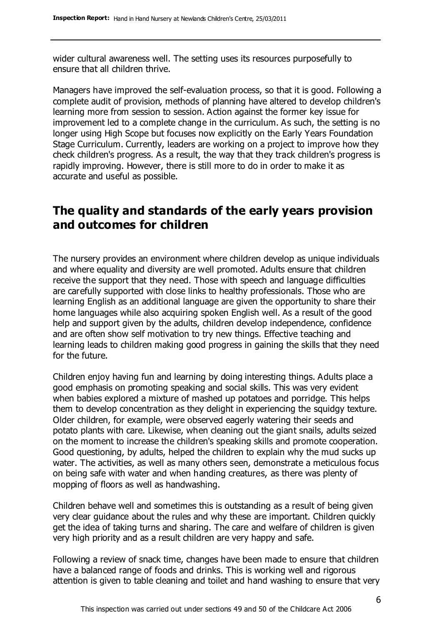wider cultural awareness well. The setting uses its resources purposefully to ensure that all children thrive.

Managers have improved the self-evaluation process, so that it is good. Following a complete audit of provision, methods of planning have altered to develop children's learning more from session to session. Action against the former key issue for improvement led to a complete change in the curriculum. As such, the setting is no longer using High Scope but focuses now explicitly on the Early Years Foundation Stage Curriculum. Currently, leaders are working on a project to improve how they check children's progress. As a result, the way that they track children's progress is rapidly improving. However, there is still more to do in order to make it as accurate and useful as possible.

# **The quality and standards of the early years provision and outcomes for children**

The nursery provides an environment where children develop as unique individuals and where equality and diversity are well promoted. Adults ensure that children receive the support that they need. Those with speech and language difficulties are carefully supported with close links to healthy professionals. Those who are learning English as an additional language are given the opportunity to share their home languages while also acquiring spoken English well. As a result of the good help and support given by the adults, children develop independence, confidence and are often show self motivation to try new things. Effective teaching and learning leads to children making good progress in gaining the skills that they need for the future.

Children enjoy having fun and learning by doing interesting things. Adults place a good emphasis on promoting speaking and social skills. This was very evident when babies explored a mixture of mashed up potatoes and porridge. This helps them to develop concentration as they delight in experiencing the squidgy texture. Older children, for example, were observed eagerly watering their seeds and potato plants with care. Likewise, when cleaning out the giant snails, adults seized on the moment to increase the children's speaking skills and promote cooperation. Good questioning, by adults, helped the children to explain why the mud sucks up water. The activities, as well as many others seen, demonstrate a meticulous focus on being safe with water and when handing creatures, as there was plenty of mopping of floors as well as handwashing.

Children behave well and sometimes this is outstanding as a result of being given very clear guidance about the rules and why these are important. Children quickly get the idea of taking turns and sharing. The care and welfare of children is given very high priority and as a result children are very happy and safe.

Following a review of snack time, changes have been made to ensure that children have a balanced range of foods and drinks. This is working well and rigorous attention is given to table cleaning and toilet and hand washing to ensure that very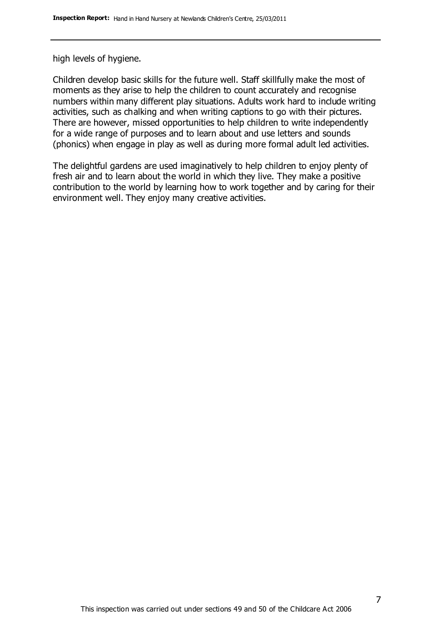high levels of hygiene.

Children develop basic skills for the future well. Staff skillfully make the most of moments as they arise to help the children to count accurately and recognise numbers within many different play situations. Adults work hard to include writing activities, such as chalking and when writing captions to go with their pictures. There are however, missed opportunities to help children to write independently for a wide range of purposes and to learn about and use letters and sounds (phonics) when engage in play as well as during more formal adult led activities.

The delightful gardens are used imaginatively to help children to enjoy plenty of fresh air and to learn about the world in which they live. They make a positive contribution to the world by learning how to work together and by caring for their environment well. They enjoy many creative activities.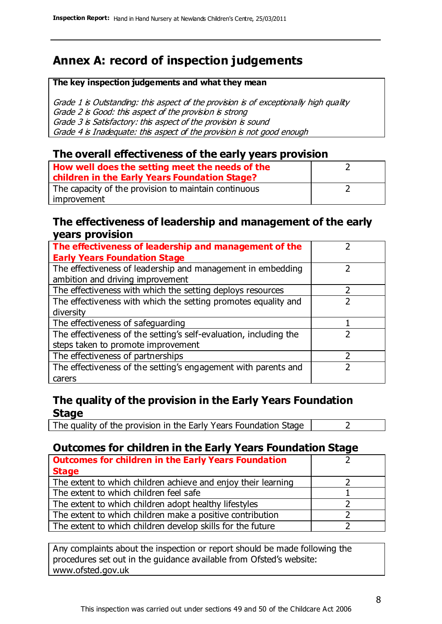# **Annex A: record of inspection judgements**

#### **The key inspection judgements and what they mean**

Grade 1 is Outstanding: this aspect of the provision is of exceptionally high quality Grade 2 is Good: this aspect of the provision is strong Grade 3 is Satisfactory: this aspect of the provision is sound Grade 4 is Inadequate: this aspect of the provision is not good enough

#### **The overall effectiveness of the early years provision**

| How well does the setting meet the needs of the      |  |
|------------------------------------------------------|--|
| children in the Early Years Foundation Stage?        |  |
| The capacity of the provision to maintain continuous |  |
| improvement                                          |  |

#### **The effectiveness of leadership and management of the early years provision**

| The effectiveness of leadership and management of the             |  |
|-------------------------------------------------------------------|--|
| <b>Early Years Foundation Stage</b>                               |  |
| The effectiveness of leadership and management in embedding       |  |
| ambition and driving improvement                                  |  |
| The effectiveness with which the setting deploys resources        |  |
| The effectiveness with which the setting promotes equality and    |  |
| diversity                                                         |  |
| The effectiveness of safeguarding                                 |  |
| The effectiveness of the setting's self-evaluation, including the |  |
| steps taken to promote improvement                                |  |
| The effectiveness of partnerships                                 |  |
| The effectiveness of the setting's engagement with parents and    |  |
| carers                                                            |  |

#### **The quality of the provision in the Early Years Foundation Stage**

The quality of the provision in the Early Years Foundation Stage  $\vert$  2

#### **Outcomes for children in the Early Years Foundation Stage**

| <b>Outcomes for children in the Early Years Foundation</b>    |  |
|---------------------------------------------------------------|--|
| <b>Stage</b>                                                  |  |
| The extent to which children achieve and enjoy their learning |  |
| The extent to which children feel safe                        |  |
| The extent to which children adopt healthy lifestyles         |  |
| The extent to which children make a positive contribution     |  |
| The extent to which children develop skills for the future    |  |

Any complaints about the inspection or report should be made following the procedures set out in the guidance available from Ofsted's website: www.ofsted.gov.uk